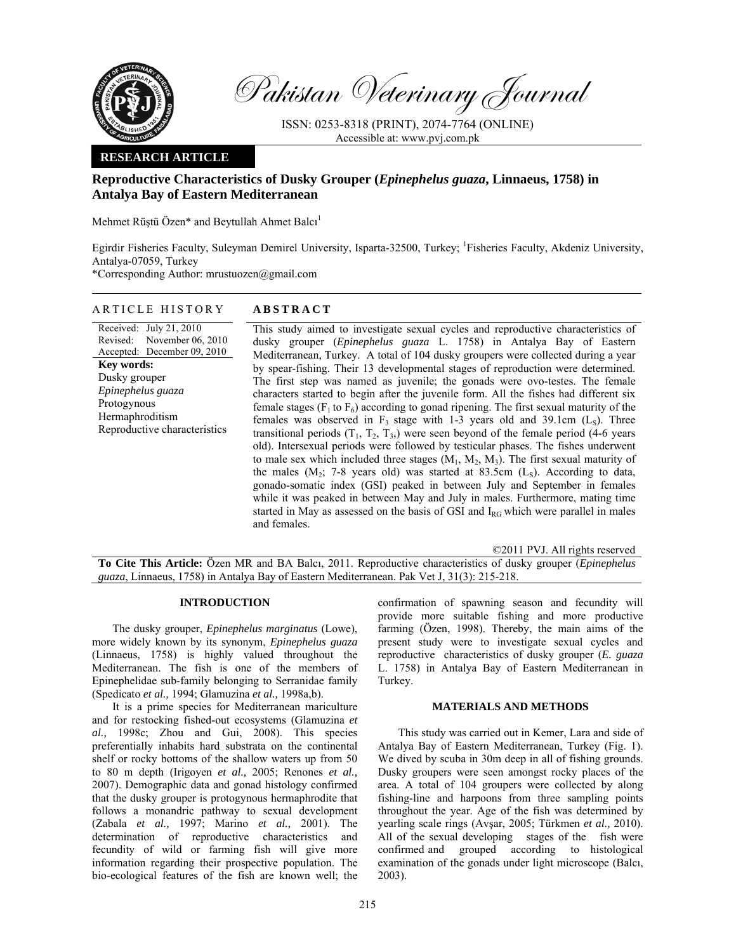

Pakistan Veterinary Journal

ISSN: 0253-8318 (PRINT), 2074-7764 (ONLINE) Accessible at: www.pvj.com.pk

# **RESEARCH ARTICLE**

# **Reproductive Characteristics of Dusky Grouper (***Epinephelus guaza***, Linnaeus, 1758) in Antalya Bay of Eastern Mediterranean**

Mehmet Rüştü Özen\* and Beytullah Ahmet Balcı 1

Egirdir Fisheries Faculty, Suleyman Demirel University, Isparta-32500, Turkey; <sup>1</sup>Fisheries Faculty, Akdeniz University, Antalya-07059, Turkey

\*Corresponding Author: mrustuozen@gmail.com

# ARTICLE HISTORY **ABSTRACT**

Received: July 21, 2010 Revised: Accepted: December 09, 2010 November 06, 2010 **Key words:**  Dusky grouper *Epinephelus guaza*  Protogynous Hermaphroditism Reproductive characteristics

This study aimed to investigate sexual cycles and reproductive characteristics of dusky grouper (*Epinephelus guaza* L. 1758) in Antalya Bay of Eastern Mediterranean, Turkey. A total of 104 dusky groupers were collected during a year by spear-fishing. Their 13 developmental stages of reproduction were determined. The first step was named as juvenile; the gonads were ovo-testes. The female characters started to begin after the juvenile form. All the fishes had different six female stages ( $F_1$  to  $F_6$ ) according to gonad ripening. The first sexual maturity of the females was observed in  $F_3$  stage with 1-3 years old and 39.1cm (L<sub>S</sub>). Three transitional periods  $(T_1, T_2, T_3)$  were seen beyond of the female period (4-6 years old). Intersexual periods were followed by testicular phases. The fishes underwent to male sex which included three stages  $(M_1, M_2, M_3)$ . The first sexual maturity of the males  $(M_2; 7-8$  years old) was started at 83.5cm  $(L_5)$ . According to data, gonado-somatic index (GSI) peaked in between July and September in females while it was peaked in between May and July in males. Furthermore, mating time started in May as assessed on the basis of GSI and  $I_{RG}$  which were parallel in males and females.

©2011 PVJ. All rights reserved

**To Cite This Article:** Özen MR and BA Balcı, 2011. Reproductive characteristics of dusky grouper (*Epinephelus guaza*, Linnaeus, 1758) in Antalya Bay of Eastern Mediterranean. Pak Vet J, 31(3): 215-218.

## **INTRODUCTION**

The dusky grouper, *Epinephelus marginatus* (Lowe), more widely known by its synonym, *Epinephelus guaza* (Linnaeus, 1758) is highly valued throughout the Mediterranean. The fish is one of the members of Epinephelidae sub-family belonging to Serranidae family (Spedicato *et al.,* 1994; Glamuzina *et al.,* 1998a,b).

It is a prime species for Mediterranean mariculture and for restocking fished-out ecosystems (Glamuzina *et al.,* 1998c; Zhou and Gui, 2008). This species preferentially inhabits hard substrata on the continental shelf or rocky bottoms of the shallow waters up from 50 to 80 m depth (Irigoyen *et al.,* 2005; Renones *et al.,* 2007). Demographic data and gonad histology confirmed that the dusky grouper is protogynous hermaphrodite that follows a monandric pathway to sexual development (Zabala *et al.,* 1997; Marino *et al.,* 2001). The determination of reproductive characteristics and fecundity of wild or farming fish will give more information regarding their prospective population. The bio-ecological features of the fish are known well; the

confirmation of spawning season and fecundity will provide more suitable fishing and more productive farming (Özen, 1998). Thereby, the main aims of the present study were to investigate sexual cycles and reproductive characteristics of dusky grouper (*E. guaza* L. 1758) in Antalya Bay of Eastern Mediterranean in Turkey.

## **MATERIALS AND METHODS**

This study was carried out in Kemer, Lara and side of Antalya Bay of Eastern Mediterranean, Turkey (Fig. 1). We dived by scuba in 30m deep in all of fishing grounds. Dusky groupers were seen amongst rocky places of the area. A total of 104 groupers were collected by along fishing-line and harpoons from three sampling points throughout the year. Age of the fish was determined by yearling scale rings (Avşar, 2005; Türkmen *et al.,* 2010). All of the sexual developing stages of the fish were confirmed and grouped according to histological examination of the gonads under light microscope (Balcı, 2003).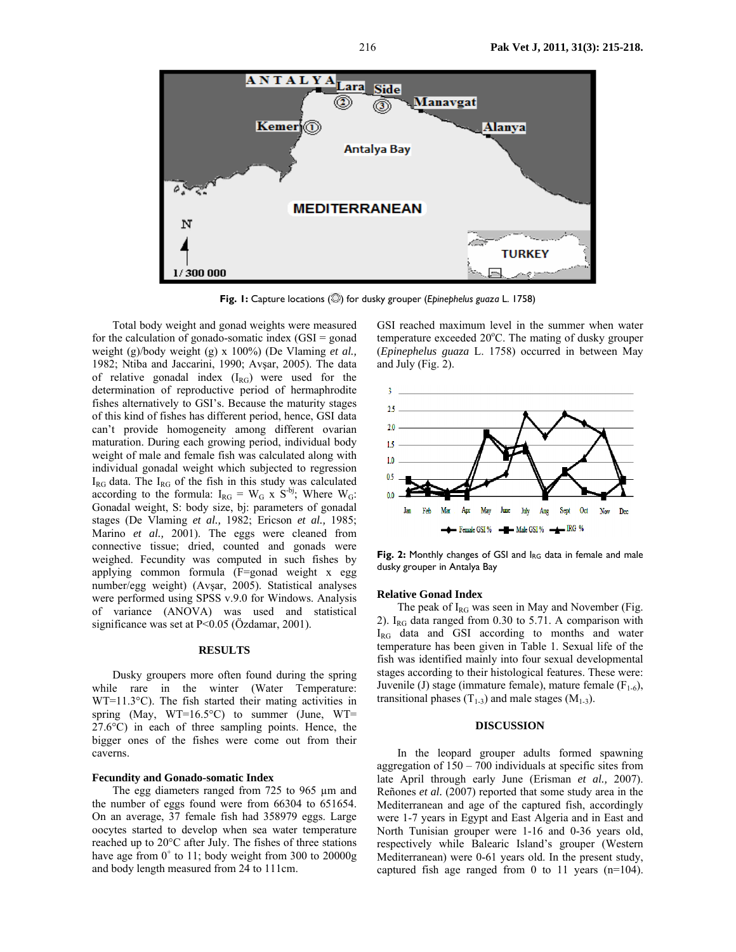

**Fig. 1:** Capture locations (C) for dusky grouper (*Epinephelus guaza* L. 1758)

Total body weight and gonad weights were measured for the calculation of gonado-somatic index  $(GSI = \text{gonad})$ weight (g)/body weight (g) x 100%) (De Vlaming *et al.,*  1982; Ntiba and Jaccarini, 1990; Avşar, 2005). The data of relative gonadal index  $(I_{RG})$  were used for the determination of reproductive period of hermaphrodite fishes alternatively to GSI's. Because the maturity stages of this kind of fishes has different period, hence, GSI data can't provide homogeneity among different ovarian maturation. During each growing period, individual body weight of male and female fish was calculated along with individual gonadal weight which subjected to regression  $I_{RG}$  data. The  $I_{RG}$  of the fish in this study was calculated according to the formula:  $I_{RG} = W_G$  x  $S^{-bj}$ ; Where  $W_G$ : Gonadal weight, S: body size, bj: parameters of gonadal stages (De Vlaming *et al.,* 1982; Ericson *et al.,* 1985; Marino *et al.,* 2001). The eggs were cleaned from connective tissue; dried, counted and gonads were weighed. Fecundity was computed in such fishes by applying common formula (F=gonad weight x egg number/egg weight) (Avşar, 2005). Statistical analyses were performed using SPSS v.9.0 for Windows. Analysis of variance (ANOVA) was used and statistical significance was set at P<0.05 (Özdamar, 2001).

#### **RESULTS**

Dusky groupers more often found during the spring while rare in the winter (Water Temperature: WT=11.3°C). The fish started their mating activities in spring (May, WT=16.5°C) to summer (June, WT= 27.6°C) in each of three sampling points. Hence, the bigger ones of the fishes were come out from their caverns.

#### **Fecundity and Gonado-somatic Index**

The egg diameters ranged from 725 to 965 µm and the number of eggs found were from 66304 to 651654. On an average, 37 female fish had 358979 eggs. Large oocytes started to develop when sea water temperature reached up to 20°C after July. The fishes of three stations have age from  $0^+$  to 11; body weight from 300 to 20000g and body length measured from 24 to 111cm.

GSI reached maximum level in the summer when water temperature exceeded 20°C. The mating of dusky grouper (*Epinephelus guaza* L. 1758) occurred in between May and July (Fig. 2).



**Fig. 2:** Monthly changes of GSI and IRG data in female and male dusky grouper in Antalya Bay

#### **Relative Gonad Index**

The peak of  $I_{RG}$  was seen in May and November (Fig. 2). I<sub>RG</sub> data ranged from  $0.30$  to  $5.71$ . A comparison with IRG data and GSI according to months and water temperature has been given in Table 1. Sexual life of the fish was identified mainly into four sexual developmental stages according to their histological features. These were: Juvenile (J) stage (immature female), mature female  $(F_{1-6})$ , transitional phases  $(T_{1-3})$  and male stages  $(M_{1-3})$ .

#### **DISCUSSION**

 In the leopard grouper adults formed spawning aggregation of 150 – 700 individuals at specific sites from late April through early June (Erisman *et al.,* 2007). Reñones *et al.* (2007) reported that some study area in the Mediterranean and age of the captured fish, accordingly were 1-7 years in Egypt and East Algeria and in East and North Tunisian grouper were 1-16 and 0-36 years old, respectively while Balearic Island's grouper (Western Mediterranean) were 0-61 years old. In the present study, captured fish age ranged from 0 to 11 years (n=104).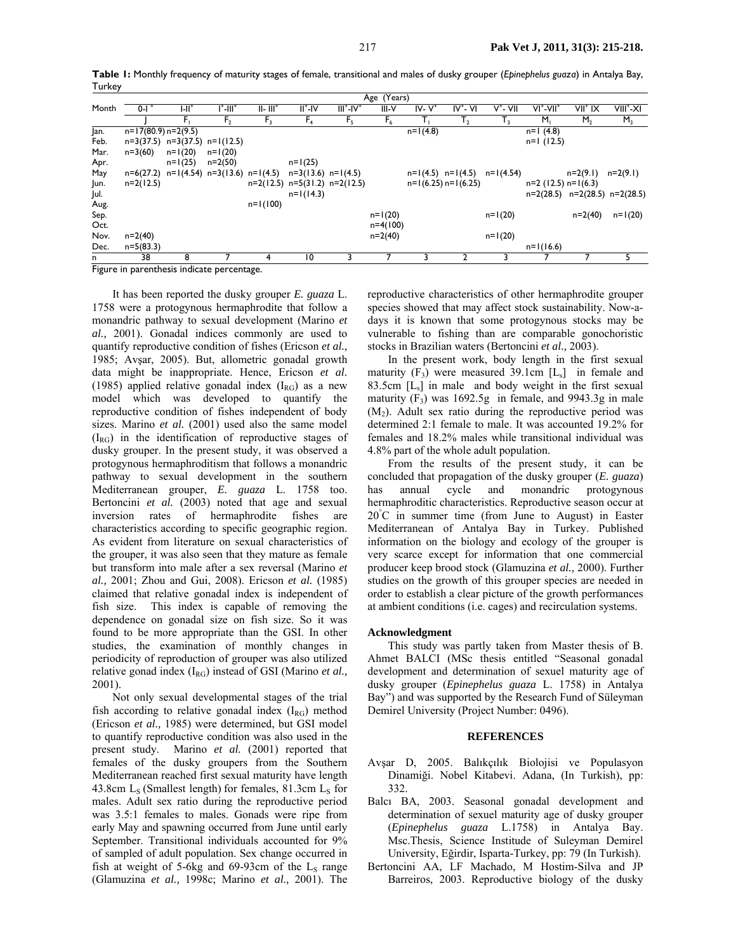|        |                           | Table 1: Monthly frequency of maturity stages of female, transitional and males of dusky grouper (Epinephelus guaza) in Antalya Bay, |  |  |  |  |  |  |  |
|--------|---------------------------|--------------------------------------------------------------------------------------------------------------------------------------|--|--|--|--|--|--|--|
| Turkey |                           |                                                                                                                                      |  |  |  |  |  |  |  |
|        | $Area$ $N_{\text{const}}$ |                                                                                                                                      |  |  |  |  |  |  |  |

|       |                                            | Age (Tears)                                                           |                |              |                                     |                |            |            |                                   |             |                          |                |                                     |
|-------|--------------------------------------------|-----------------------------------------------------------------------|----------------|--------------|-------------------------------------|----------------|------------|------------|-----------------------------------|-------------|--------------------------|----------------|-------------------------------------|
| Month | $0 - 1 +$                                  | $  -   ^+$                                                            | l*-III*        | $II - III^+$ | $II^*$ -IV                          | $III+-IV+$     | III-V      | $IV - V^+$ | $IV^*$ - VI                       | $V^*$ - VII | $VI^*$ -VII <sup>+</sup> | $VII^+ IX$     | VIII*-XI                            |
|       |                                            |                                                                       | F <sub>2</sub> | $F_{3}$      | F <sub>4</sub>                      | F <sub>5</sub> | $F_6$      |            | т,                                | I٠          | $M_{\rm L}$              | M <sub>2</sub> | $M_3$                               |
| Jan.  | $n=17(80.9) n=2(9.5)$                      |                                                                       |                |              |                                     |                |            | $n=1(4.8)$ |                                   |             | $n=1$ (4.8)              |                |                                     |
| Feb.  |                                            | $n=3(37.5)$ $n=3(37.5)$ $n=1(12.5)$                                   |                |              |                                     |                |            |            |                                   |             | $n=1$ (12.5)             |                |                                     |
| Mar.  | $n=3(60)$                                  | $n=1(20)$                                                             | $n=1(20)$      |              |                                     |                |            |            |                                   |             |                          |                |                                     |
| Apr.  |                                            | $n=1(25)$                                                             | $n=2(50)$      |              | $n=1(25)$                           |                |            |            |                                   |             |                          |                |                                     |
| May   |                                            | $n=6(27.2)$ $n=1(4.54)$ $n=3(13.6)$ $n=1(4.5)$ $n=3(13.6)$ $n=1(4.5)$ |                |              |                                     |                |            |            | $n=1(4.5)$ $n=1(4.5)$ $n=1(4.54)$ |             |                          | $n=2(9.1)$     | n=2(9.1)                            |
| Jun.  | $n=2(12.5)$                                |                                                                       |                |              | $n=2(12.5)$ $n=5(31.2)$ $n=2(12.5)$ |                |            |            | $n=1(6.25)$ n= $1(6.25)$          |             | $n=2$ (12.5) $n=1$ (6.3) |                |                                     |
| Jul.  |                                            |                                                                       |                |              | $n=1(14.3)$                         |                |            |            |                                   |             |                          |                | $n=2(28.5)$ $n=2(28.5)$ $n=2(28.5)$ |
| Aug.  |                                            |                                                                       |                | $n=1(100)$   |                                     |                |            |            |                                   |             |                          |                |                                     |
| Sep.  |                                            |                                                                       |                |              |                                     |                | $n=1(20)$  |            |                                   | $n=1(20)$   |                          | $n=2(40)$      | $n=1(20)$                           |
| Oct.  |                                            |                                                                       |                |              |                                     |                | $n=4(100)$ |            |                                   |             |                          |                |                                     |
| Nov.  | $n=2(40)$                                  |                                                                       |                |              |                                     |                | $n=2(40)$  |            |                                   | $n=1(20)$   |                          |                |                                     |
| Dec.  | $n=5(83.3)$                                |                                                                       |                |              |                                     |                |            |            |                                   |             | $n=1(16.6)$              |                |                                     |
| n     | 38                                         | 8                                                                     |                |              | 10                                  |                |            |            |                                   |             |                          |                |                                     |
|       | Figure in parenthesis indicate percentage. |                                                                       |                |              |                                     |                |            |            |                                   |             |                          |                |                                     |

It has been reported the dusky grouper *E. guaza* L. 1758 were a protogynous hermaphrodite that follow a monandric pathway to sexual development (Marino *et al.,* 2001). Gonadal indices commonly are used to quantify reproductive condition of fishes (Ericson *et al.*, 1985; Avşar, 2005). But, allometric gonadal growth data might be inappropriate. Hence, Ericson *et al.* (1985) applied relative gonadal index  $(I_{RG})$  as a new model which was developed to quantify the reproductive condition of fishes independent of body sizes. Marino *et al.* (2001) used also the same model  $(I_{RG})$  in the identification of reproductive stages of dusky grouper. In the present study, it was observed a protogynous hermaphroditism that follows a monandric pathway to sexual development in the southern Mediterranean grouper, *E. guaza* L. 1758 too. Bertoncini et al. (2003) noted that age and sexual inversion rates of hermaphrodite fishes are characteristics according to specific geographic region. As evident from literature on sexual characteristics of the grouper, it was also seen that they mature as female but transform into male after a sex reversal (Marino *et al.,* 2001; Zhou and Gui, 2008). Ericson *et al.* (1985) claimed that relative gonadal index is independent of fish size. This index is capable of removing the dependence on gonadal size on fish size. So it was found to be more appropriate than the GSI. In other studies, the examination of monthly changes in periodicity of reproduction of grouper was also utilized relative gonad index (IRG) instead of GSI (Marino *et al.,*  2001).

Not only sexual developmental stages of the trial fish according to relative gonadal index  $(I_{RG})$  method (Ericson *et al.,* 1985) were determined, but GSI model to quantify reproductive condition was also used in the present study. Marino *et al.* (2001) reported that females of the dusky groupers from the Southern Mediterranean reached first sexual maturity have length 43.8cm  $L_s$  (Smallest length) for females, 81.3cm  $L_s$  for males. Adult sex ratio during the reproductive period was 3.5:1 females to males. Gonads were ripe from early May and spawning occurred from June until early September. Transitional individuals accounted for 9% of sampled of adult population. Sex change occurred in fish at weight of 5-6kg and 69-93cm of the  $L_s$  range (Glamuzina *et al.,* 1998c; Marino *et al.,* 2001). The

reproductive characteristics of other hermaphrodite grouper species showed that may affect stock sustainability. Now-adays it is known that some protogynous stocks may be vulnerable to fishing than are comparable gonochoristic stocks in Brazilian waters (Bertoncini *et al.,* 2003).

In the present work, body length in the first sexual maturity  $(F_3)$  were measured 39.1cm  $[L_5]$  in female and 83.5cm  $[L<sub>s</sub>]$  in male and body weight in the first sexual maturity  $(F_3)$  was 1692.5g in female, and 9943.3g in male  $(M<sub>2</sub>)$ . Adult sex ratio during the reproductive period was determined 2:1 female to male. It was accounted 19.2% for females and 18.2% males while transitional individual was 4.8% part of the whole adult population.

From the results of the present study, it can be concluded that propagation of the dusky grouper (*E. guaza*) has annual cycle and monandric protogynous hermaphroditic characteristics. Reproductive season occur at 20° C in summer time (from June to August) in Easter Mediterranean of Antalya Bay in Turkey. Published information on the biology and ecology of the grouper is very scarce except for information that one commercial producer keep brood stock (Glamuzina *et al.,* 2000). Further studies on the growth of this grouper species are needed in order to establish a clear picture of the growth performances at ambient conditions (i.e. cages) and recirculation systems.

#### **Acknowledgment**

This study was partly taken from Master thesis of B. Ahmet BALCI (MSc thesis entitled "Seasonal gonadal development and determination of sexuel maturity age of dusky grouper (*Epinephelus guaza* L. 1758) in Antalya Bay") and was supported by the Research Fund of Süleyman Demirel University (Project Number: 0496).

#### **REFERENCES**

- Avşar D, 2005. Balıkçılık Biolojisi ve Populasyon Dinamiği. Nobel Kitabevi. Adana, (In Turkish), pp: 332.
- Balcı BA, 2003. Seasonal gonadal development and determination of sexuel maturity age of dusky grouper (*Epinephelus guaza* L.1758) in Antalya Bay. Msc.Thesis, Science Institude of Suleyman Demirel University, Eğirdir, Isparta-Turkey, pp: 79 (In Turkish).
- Bertoncini AA, LF Machado, M Hostim-Silva and JP Barreiros, 2003. Reproductive biology of the dusky